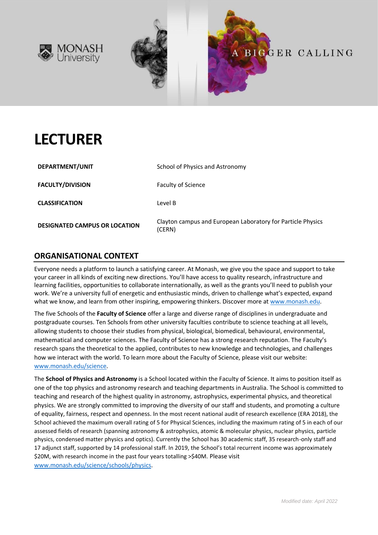



# **LECTURER**

| DEPARTMENT/UNIT                      | School of Physics and Astronomy                                       |
|--------------------------------------|-----------------------------------------------------------------------|
| <b>FACULTY/DIVISION</b>              | <b>Faculty of Science</b>                                             |
| <b>CLASSIFICATION</b>                | Level B                                                               |
| <b>DESIGNATED CAMPUS OR LOCATION</b> | Clayton campus and European Laboratory for Particle Physics<br>(CERN) |

# **ORGANISATIONAL CONTEXT**

Everyone needs a platform to launch a satisfying career. At Monash, we give you the space and support to take your career in all kinds of exciting new directions. You'll have access to quality research, infrastructure and learning facilities, opportunities to collaborate internationally, as well as the grants you'll need to publish your work. We're a university full of energetic and enthusiastic minds, driven to challenge what's expected, expand what we know, and learn from other inspiring, empowering thinkers. Discover more a[t www.monash.edu.](http://www.monash.edu/)

The five Schools of the **Faculty of Science** offer a large and diverse range of disciplines in undergraduate and postgraduate courses. Ten Schools from other university faculties contribute to science teaching at all levels, allowing students to choose their studies from physical, biological, biomedical, behavioural, environmental, mathematical and computer sciences. The Faculty of Science has a strong research reputation. The Faculty's research spans the theoretical to the applied, contributes to new knowledge and technologies, and challenges how we interact with the world. To learn more about the Faculty of Science, please visit our website: [www.monash.edu/science.](http://www.monash.edu/science/)

The **School of Physics and Astronomy** is a School located within the Faculty of Science. It aims to position itself as one of the top physics and astronomy research and teaching departments in Australia. The School is committed to teaching and research of the highest quality in astronomy, astrophysics, experimental physics, and theoretical physics. We are strongly committed to improving the diversity of our staff and students, and promoting a culture of equality, fairness, respect and openness. In the most recent national audit of research excellence (ERA 2018), the School achieved the maximum overall rating of 5 for Physical Sciences, including the maximum rating of 5 in each of our assessed fields of research (spanning astronomy & astrophysics, atomic & molecular physics, nuclear physics, particle physics, condensed matter physics and optics). Currently the School has 30 academic staff, 35 research-only staff and 17 adjunct staff, supported by 14 professional staff. In 2019, the School's total recurrent income was approximately \$20M, with research income in the past four years totalling >\$40M. Please visit [www.monash.edu/science/schools/physics.](https://www.monash.edu/science/schools/physics)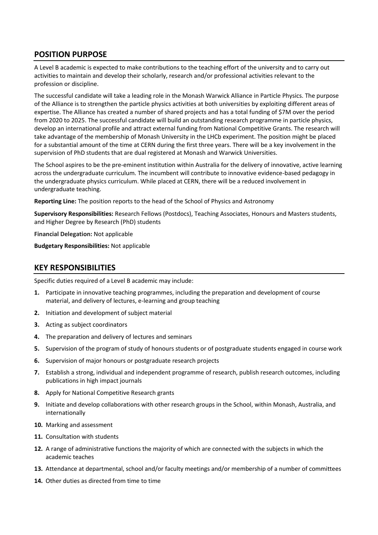#### **POSITION PURPOSE**

A Level B academic is expected to make contributions to the teaching effort of the university and to carry out activities to maintain and develop their scholarly, research and/or professional activities relevant to the profession or discipline.

The successful candidate will take a leading role in the Monash Warwick Alliance in Particle Physics. The purpose of the Alliance is to strengthen the particle physics activities at both universities by exploiting different areas of expertise. The Alliance has created a number of shared projects and has a total funding of \$7M over the period from 2020 to 2025. The successful candidate will build an outstanding research programme in particle physics, develop an international profile and attract external funding from National Competitive Grants. The research will take advantage of the membership of Monash University in the LHCb experiment. The position might be placed for a substantial amount of the time at CERN during the first three years. There will be a key involvement in the supervision of PhD students that are dual registered at Monash and Warwick Universities.

The School aspires to be the pre-eminent institution within Australia for the delivery of innovative, active learning across the undergraduate curriculum. The incumbent will contribute to innovative evidence-based pedagogy in the undergraduate physics curriculum. While placed at CERN, there will be a reduced involvement in undergraduate teaching.

**Reporting Line:** The position reports to the head of the School of Physics and Astronomy

**Supervisory Responsibilities:** Research Fellows (Postdocs), Teaching Associates, Honours and Masters students, and Higher Degree by Research (PhD) students

**Financial Delegation:** Not applicable

**Budgetary Responsibilities:** Not applicable

#### **KEY RESPONSIBILITIES**

Specific duties required of a Level B academic may include:

- **1.** Participate in innovative teaching programmes, including the preparation and development of course material, and delivery of lectures, e-learning and group teaching
- **2.** Initiation and development of subject material
- **3.** Acting as subject coordinators
- **4.** The preparation and delivery of lectures and seminars
- **5.** Supervision of the program of study of honours students or of postgraduate students engaged in course work
- **6.** Supervision of major honours or postgraduate research projects
- **7.** Establish a strong, individual and independent programme of research, publish research outcomes, including publications in high impact journals
- **8.** Apply for National Competitive Research grants
- **9.** Initiate and develop collaborations with other research groups in the School, within Monash, Australia, and internationally
- **10.** Marking and assessment
- **11.** Consultation with students
- **12.** A range of administrative functions the majority of which are connected with the subjects in which the academic teaches
- **13.** Attendance at departmental, school and/or faculty meetings and/or membership of a number of committees
- **14.** Other duties as directed from time to time